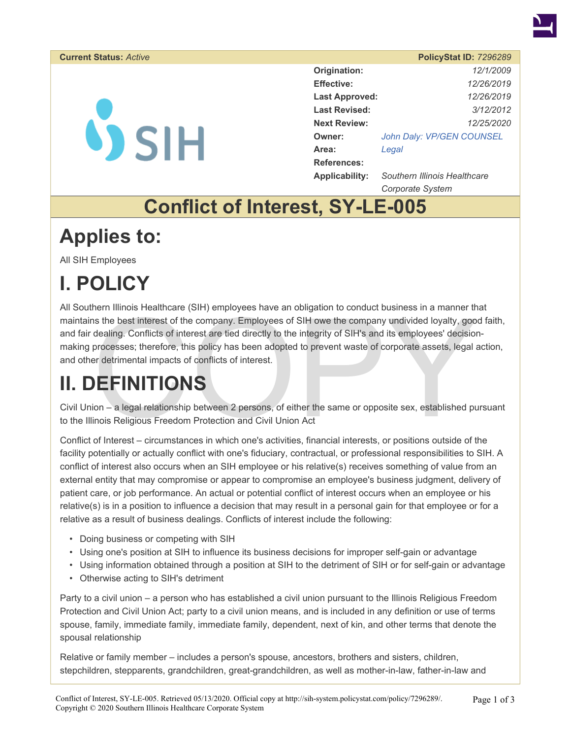

#### **Current Status: Active**

# $\mathbf{V}$  SIH

|                       | PolicyStat ID: 7296289       |
|-----------------------|------------------------------|
| Origination:          | 12/1/2009                    |
| <b>Effective:</b>     | 12/26/2019                   |
| <b>Last Approved:</b> | 12/26/2019                   |
| Last Revised:         | 3/12/2012                    |
| <b>Next Review:</b>   | 12/25/2020                   |
| Owner:                | John Daly: VP/GEN COUNSEL    |
| Area:                 | Legal                        |
| <b>References:</b>    |                              |
| <b>Applicability:</b> | Southern Illinois Healthcare |

*Corporate System* 

## **Conflict of Interest, SY-LE-005**

## **Applies to:**

All SIH Employees

# **I. POLICY**

nern illinois Healthcare (SIH) employees have an obligation to conduct business in a manner three states in terms and the company. Employees of SIH owe the company undivided loyalty, goodealing. Conflicts of interest are t All Southern Illinois Healthcare (SIH) employees have an obligation to conduct business in a manner that maintains the best interest of the company. Employees of SIH owe the company undivided loyalty, good faith, and fair dealing. Conflicts of interest are tied directly to the integrity of SIH's and its employees' decisionmaking processes; therefore, this policy has been adopted to prevent waste of corporate assets, legal action, and other detrimental impacts of conflicts of interest.

# **II. DEFINITIONS**

Civil Union – a legal relationship between 2 persons, of either the same or opposite sex, established pursuant to the Illinois Religious Freedom Protection and Civil Union Act

Conflict of Interest – circumstances in which one's activities, financial interests, or positions outside of the facility potentially or actually conflict with one's fiduciary, contractual, or professional responsibilities to SIH. A conflict of interest also occurs when an SIH employee or his relative(s) receives something of value from an external entity that may compromise or appear to compromise an employee's business judgment, delivery of patient care, or job performance. An actual or potential conflict of interest occurs when an employee or his relative(s) is in a position to influence a decision that may result in a personal gain for that employee or for a relative as a result of business dealings. Conflicts of interest include the following:

- Doing business or competing with SIH
- Using one's position at SIH to influence its business decisions for improper self-gain or advantage
- Using information obtained through a position at SIH to the detriment of SIH or for self-gain or advantage
- Otherwise acting to SIH's detriment

Party to a civil union – a person who has established a civil union pursuant to the Illinois Religious Freedom Protection and Civil Union Act; party to a civil union means, and is included in any definition or use of terms spouse, family, immediate family, immediate family, dependent, next of kin, and other terms that denote the spousal relationship

Relative or family member – includes a person's spouse, ancestors, brothers and sisters, children, stepchildren, stepparents, grandchildren, great-grandchildren, as well as mother-in-law, father-in-law and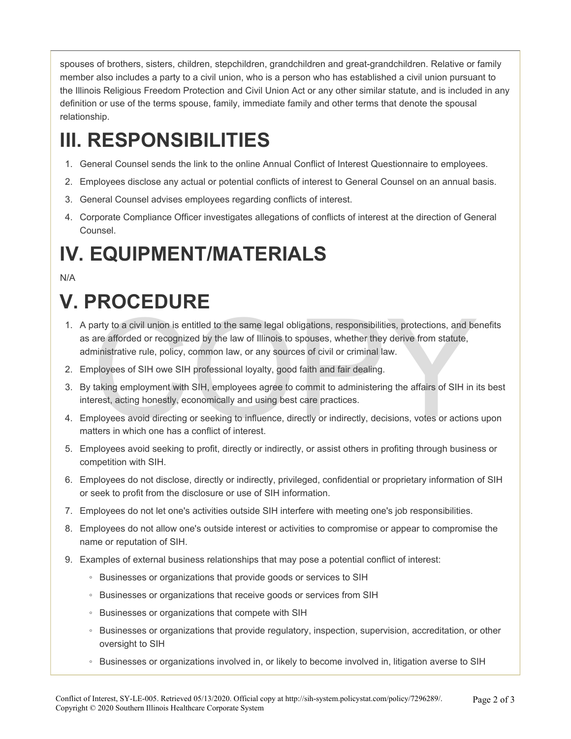spouses of brothers, sisters, children, stepchildren, grandchildren and great-grandchildren. Relative or family member also includes a party to a civil union, who is a person who has established a civil union pursuant to the Illinois Religious Freedom Protection and Civil Union Act or any other similar statute, and is included in any definition or use of the terms spouse, family, immediate family and other terms that denote the spousal relationship.

# **III. RESPONSIBILITIES**

- 1. General Counsel sends the link to the online Annual Conflict of Interest Questionnaire to employees.
- 2. Employees disclose any actual or potential conflicts of interest to General Counsel on an annual basis.
- 3. General Counsel advises employees regarding conflicts of interest.
- 4. Corporate Compliance Officer investigates allegations of conflicts of interest at the direction of General Counsel.

## **IV. EQUIPMENT/MATERIALS**

#### N/A

# **V. PROCEDURE**

- The same start of the same legal obligations, responsibilities, protections, and be<br>are afforded or recognized by the law of Illinois to spouses, whether they derive from statute,<br>ministrative rule, policy, common law, or 1. A party to a civil union is entitled to the same legal obligations, responsibilities, protections, and benefits as are afforded or recognized by the law of Illinois to spouses, whether they derive from statute, administrative rule, policy, common law, or any sources of civil or criminal law.
- 2. Employees of SIH owe SIH professional loyalty, good faith and fair dealing.
- 3. By taking employment with SIH, employees agree to commit to administering the affairs of SIH in its best interest, acting honestly, economically and using best care practices.
- 4. Employees avoid directing or seeking to influence, directly or indirectly, decisions, votes or actions upon matters in which one has a conflict of interest.
- 5. Employees avoid seeking to profit, directly or indirectly, or assist others in profiting through business or competition with SIH.
- 6. Employees do not disclose, directly or indirectly, privileged, confidential or proprietary information of SIH or seek to profit from the disclosure or use of SIH information.
- 7. Employees do not let one's activities outside SIH interfere with meeting one's job responsibilities.
- 8. Employees do not allow one's outside interest or activities to compromise or appear to compromise the name or reputation of SIH.
- 9. Examples of external business relationships that may pose a potential conflict of interest:
	- Businesses or organizations that provide goods or services to SIH
	- Businesses or organizations that receive goods or services from SIH
	- Businesses or organizations that compete with SIH
	- Businesses or organizations that provide regulatory, inspection, supervision, accreditation, or other oversight to SIH
	- Businesses or organizations involved in, or likely to become involved in, litigation averse to SIH